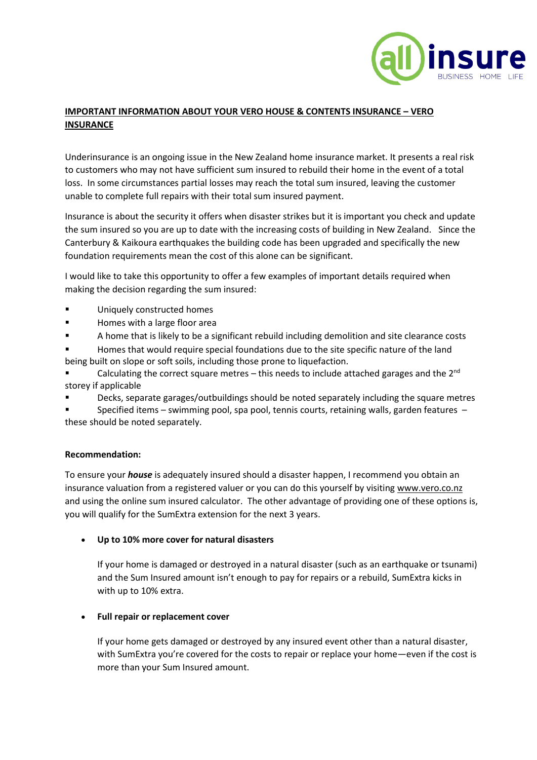

## **IMPORTANT INFORMATION ABOUT YOUR VERO HOUSE & CONTENTS INSURANCE – VERO INSURANCE**

Underinsurance is an ongoing issue in the New Zealand home insurance market. It presents a real risk to customers who may not have sufficient sum insured to rebuild their home in the event of a total loss. In some circumstances partial losses may reach the total sum insured, leaving the customer unable to complete full repairs with their total sum insured payment.

Insurance is about the security it offers when disaster strikes but it is important you check and update the sum insured so you are up to date with the increasing costs of building in New Zealand. Since the Canterbury & Kaikoura earthquakes the building code has been upgraded and specifically the new foundation requirements mean the cost of this alone can be significant.

I would like to take this opportunity to offer a few examples of important details required when making the decision regarding the sum insured:

- Uniquely constructed homes
- Homes with a large floor area
- A home that is likely to be a significant rebuild including demolition and site clearance costs
- Homes that would require special foundations due to the site specific nature of the land being built on slope or soft soils, including those prone to liquefaction.
- Calculating the correct square metres this needs to include attached garages and the  $2^{nd}$ storey if applicable
- Decks, separate garages/outbuildings should be noted separately including the square metres

Specified items – swimming pool, spa pool, tennis courts, retaining walls, garden features – these should be noted separately.

## **Recommendation:**

To ensure your *house* is adequately insured should a disaster happen, I recommend you obtain an insurance valuation from a registered valuer or you can do this yourself by visiting [www.vero.co.nz](http://www.vero.co.nz/) and using the online sum insured calculator. The other advantage of providing one of these options is, you will qualify for the SumExtra extension for the next 3 years.

• **Up to 10% more cover for natural disasters**

If your home is damaged or destroyed in a natural disaster (such as an earthquake or tsunami) and the Sum Insured amount isn't enough to pay for repairs or a rebuild, SumExtra kicks in with up to 10% extra.

## • **Full repair or replacement cover**

If your home gets damaged or destroyed by any insured event other than a natural disaster, with SumExtra you're covered for the costs to repair or replace your home—even if the cost is more than your Sum Insured amount.